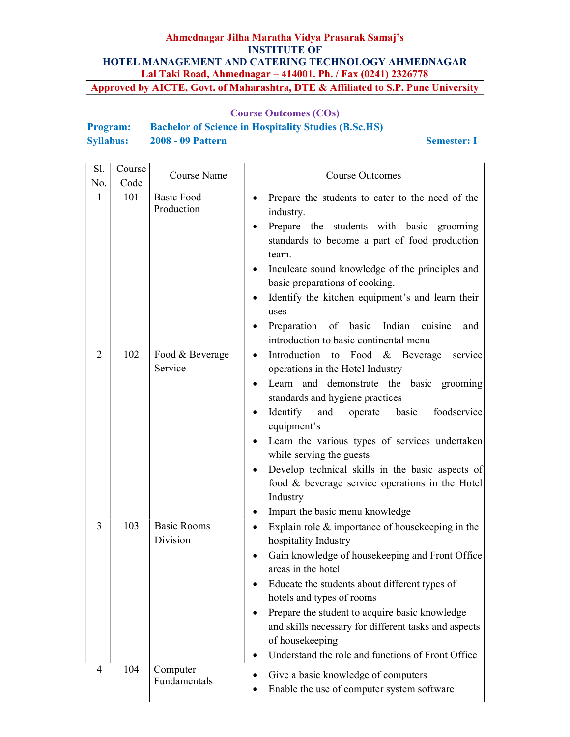## Course Outcomes (COs)

| <b>Program:</b>  |                          | <b>Bachelor of Science in Hospitality Studies (B.Sc.HS)</b> |
|------------------|--------------------------|-------------------------------------------------------------|
| <b>Syllabus:</b> | <b>2008 - 09 Pattern</b> |                                                             |

Semester: I

| Sl.            | Course | Course Name                     | <b>Course Outcomes</b>                                                                                                                                                                                                                                                                                                                                                                                                                                              |
|----------------|--------|---------------------------------|---------------------------------------------------------------------------------------------------------------------------------------------------------------------------------------------------------------------------------------------------------------------------------------------------------------------------------------------------------------------------------------------------------------------------------------------------------------------|
| No.            | Code   |                                 |                                                                                                                                                                                                                                                                                                                                                                                                                                                                     |
| 1              | 101    | <b>Basic Food</b><br>Production | Prepare the students to cater to the need of the<br>industry.<br>Prepare the students with basic grooming<br>standards to become a part of food production<br>team.<br>Inculcate sound knowledge of the principles and<br>$\bullet$<br>basic preparations of cooking.<br>Identify the kitchen equipment's and learn their<br>uses<br>Preparation of basic Indian cuisine<br>and<br>introduction to basic continental menu                                           |
| $\overline{2}$ | 102    | Food & Beverage<br>Service      | Introduction to Food & Beverage<br>service<br>operations in the Hotel Industry<br>Learn and demonstrate the basic grooming<br>standards and hygiene practices<br>Identify<br>operate basic<br>foodservice<br>and<br>equipment's<br>Learn the various types of services undertaken<br>while serving the guests<br>Develop technical skills in the basic aspects of<br>food & beverage service operations in the Hotel<br>Industry<br>Impart the basic menu knowledge |
| 3              | 103    | <b>Basic Rooms</b><br>Division  | Explain role $&$ importance of house keeping in the<br>$\bullet$<br>hospitality Industry<br>Gain knowledge of housekeeping and Front Office<br>areas in the hotel<br>Educate the students about different types of<br>hotels and types of rooms<br>Prepare the student to acquire basic knowledge<br>and skills necessary for different tasks and aspects<br>of housekeeping<br>Understand the role and functions of Front Office                                   |
| 4              | 104    | Computer<br>Fundamentals        | Give a basic knowledge of computers<br>Enable the use of computer system software                                                                                                                                                                                                                                                                                                                                                                                   |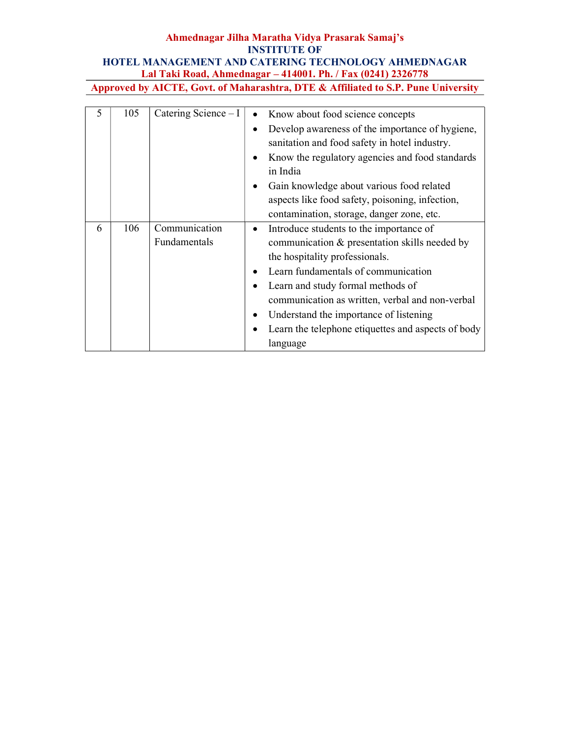| 5 | 105 | Catering Science $-I$         | Know about food science concepts<br>Develop awareness of the importance of hygiene,<br>sanitation and food safety in hotel industry.<br>Know the regulatory agencies and food standards<br>in India<br>Gain knowledge about various food related<br>aspects like food safety, poisoning, infection,<br>contamination, storage, danger zone, etc.                      |
|---|-----|-------------------------------|-----------------------------------------------------------------------------------------------------------------------------------------------------------------------------------------------------------------------------------------------------------------------------------------------------------------------------------------------------------------------|
| 6 | 106 | Communication<br>Fundamentals | Introduce students to the importance of<br>communication & presentation skills needed by<br>the hospitality professionals.<br>Learn fundamentals of communication<br>Learn and study formal methods of<br>communication as written, verbal and non-verbal<br>Understand the importance of listening<br>Learn the telephone etiquettes and aspects of body<br>language |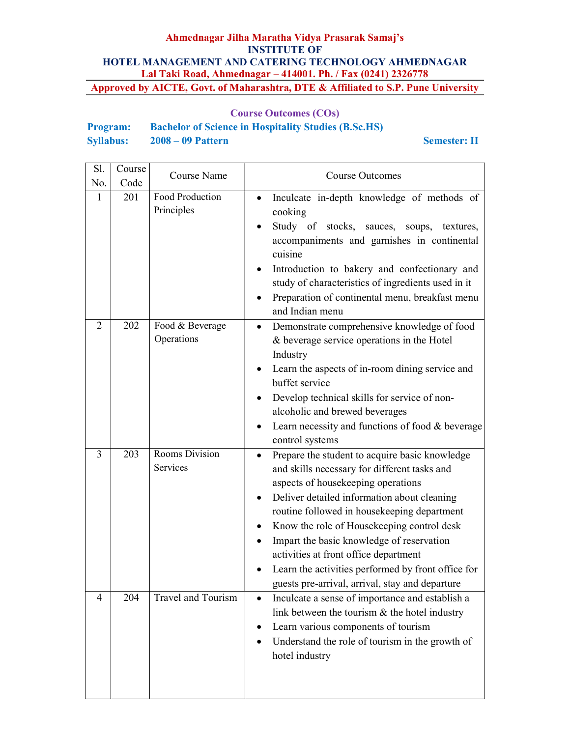## Course Outcomes (COs)

| <b>Program:</b>  | <b>Bachelor of Science in Hospitality Studies (B.Sc.HS)</b> |
|------------------|-------------------------------------------------------------|
| <b>Syllabus:</b> | $2008 - 09$ Pattern                                         |

#### Semester: II

| Sl.          | Course | Course Name                   | <b>Course Outcomes</b>                                                                                                                                                                                                                                                                                                                                                                                                                                                                                         |
|--------------|--------|-------------------------------|----------------------------------------------------------------------------------------------------------------------------------------------------------------------------------------------------------------------------------------------------------------------------------------------------------------------------------------------------------------------------------------------------------------------------------------------------------------------------------------------------------------|
| No.          | Code   |                               |                                                                                                                                                                                                                                                                                                                                                                                                                                                                                                                |
| $\mathbf{1}$ | 201    | Food Production<br>Principles | Inculcate in-depth knowledge of methods of<br>$\bullet$<br>cooking<br>Study of stocks, sauces, soups,<br>textures,<br>accompaniments and garnishes in continental<br>cuisine<br>Introduction to bakery and confectionary and<br>$\bullet$<br>study of characteristics of ingredients used in it<br>Preparation of continental menu, breakfast menu<br>and Indian menu                                                                                                                                          |
| 2            | 202    | Food & Beverage<br>Operations | Demonstrate comprehensive knowledge of food<br>$\bullet$<br>& beverage service operations in the Hotel<br>Industry<br>Learn the aspects of in-room dining service and<br>$\bullet$<br>buffet service<br>Develop technical skills for service of non-<br>$\bullet$<br>alcoholic and brewed beverages<br>Learn necessity and functions of food & beverage<br>$\bullet$<br>control systems                                                                                                                        |
| 3            | 203    | Rooms Division<br>Services    | Prepare the student to acquire basic knowledge<br>$\bullet$<br>and skills necessary for different tasks and<br>aspects of housekeeping operations<br>Deliver detailed information about cleaning<br>$\bullet$<br>routine followed in housekeeping department<br>Know the role of Housekeeping control desk<br>٠<br>Impart the basic knowledge of reservation<br>activities at front office department<br>Learn the activities performed by front office for<br>guests pre-arrival, arrival, stay and departure |
| 4            | 204    | Travel and Tourism            | Inculcate a sense of importance and establish a<br>$\bullet$<br>link between the tourism $\&$ the hotel industry<br>Learn various components of tourism<br>Understand the role of tourism in the growth of<br>hotel industry                                                                                                                                                                                                                                                                                   |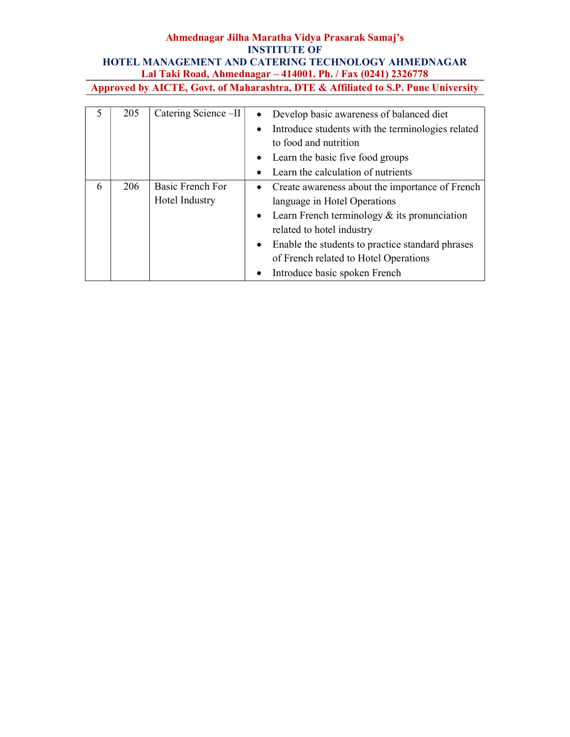|   | 205 | Catering Science -II | $\bullet$ | Develop basic awareness of balanced diet          |
|---|-----|----------------------|-----------|---------------------------------------------------|
|   |     |                      |           | Introduce students with the terminologies related |
|   |     |                      |           | to food and nutrition                             |
|   |     |                      |           | • Learn the basic five food groups                |
|   |     |                      |           | Learn the calculation of nutrients                |
| 6 | 206 | Basic French For     |           | • Create awareness about the importance of French |
|   |     | Hotel Industry       |           | language in Hotel Operations                      |
|   |     |                      |           | • Learn French terminology $&$ its pronunciation  |
|   |     |                      |           | related to hotel industry                         |
|   |     |                      | $\bullet$ | Enable the students to practice standard phrases  |
|   |     |                      |           | of French related to Hotel Operations             |
|   |     |                      |           | Introduce basic spoken French                     |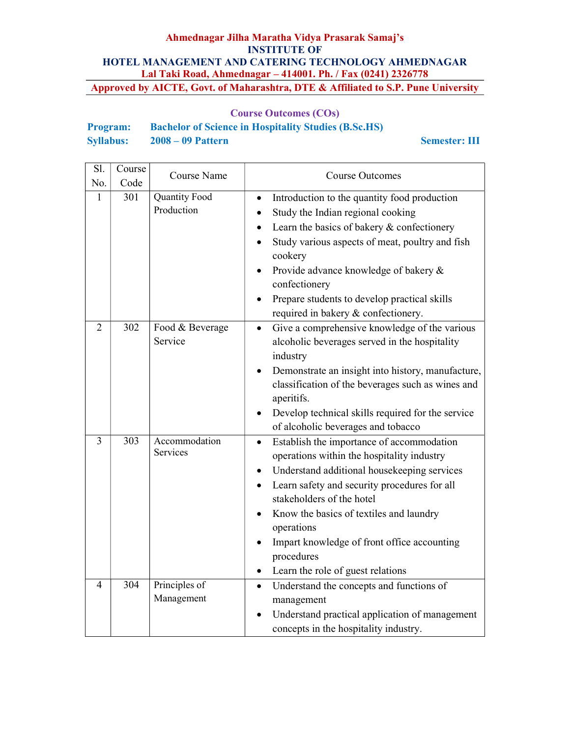## Course Outcomes (COs)

| <b>Program:</b>  | <b>Bachelor of Science in Hospitality Studies (B.Sc.HS)</b> |
|------------------|-------------------------------------------------------------|
| <b>Syllabus:</b> | $2008 - 09$ Pattern                                         |

Semester: III

| Sl.<br>No.     | Course<br>Code | Course Name                        | <b>Course Outcomes</b>                                                                                                                                                                                                                                                                                                                                                                                                             |
|----------------|----------------|------------------------------------|------------------------------------------------------------------------------------------------------------------------------------------------------------------------------------------------------------------------------------------------------------------------------------------------------------------------------------------------------------------------------------------------------------------------------------|
| 1              | 301            | <b>Quantity Food</b><br>Production | Introduction to the quantity food production<br>$\bullet$<br>Study the Indian regional cooking<br>$\bullet$<br>Learn the basics of bakery & confectionery<br>Study various aspects of meat, poultry and fish<br>$\bullet$<br>cookery<br>Provide advance knowledge of bakery &<br>confectionery<br>Prepare students to develop practical skills<br>required in bakery & confectionery.                                              |
| $\overline{2}$ | 302            | Food & Beverage<br>Service         | Give a comprehensive knowledge of the various<br>$\bullet$<br>alcoholic beverages served in the hospitality<br>industry<br>Demonstrate an insight into history, manufacture,<br>$\bullet$<br>classification of the beverages such as wines and<br>aperitifs.<br>Develop technical skills required for the service<br>$\bullet$<br>of alcoholic beverages and tobacco                                                               |
| 3              | 303            | Accommodation<br>Services          | Establish the importance of accommodation<br>$\bullet$<br>operations within the hospitality industry<br>Understand additional housekeeping services<br>$\bullet$<br>Learn safety and security procedures for all<br>$\bullet$<br>stakeholders of the hotel<br>Know the basics of textiles and laundry<br>operations<br>Impart knowledge of front office accounting<br>procedures<br>Learn the role of guest relations<br>$\bullet$ |
| 4              | 304            | Principles of<br>Management        | Understand the concepts and functions of<br>$\bullet$<br>management<br>Understand practical application of management<br>concepts in the hospitality industry.                                                                                                                                                                                                                                                                     |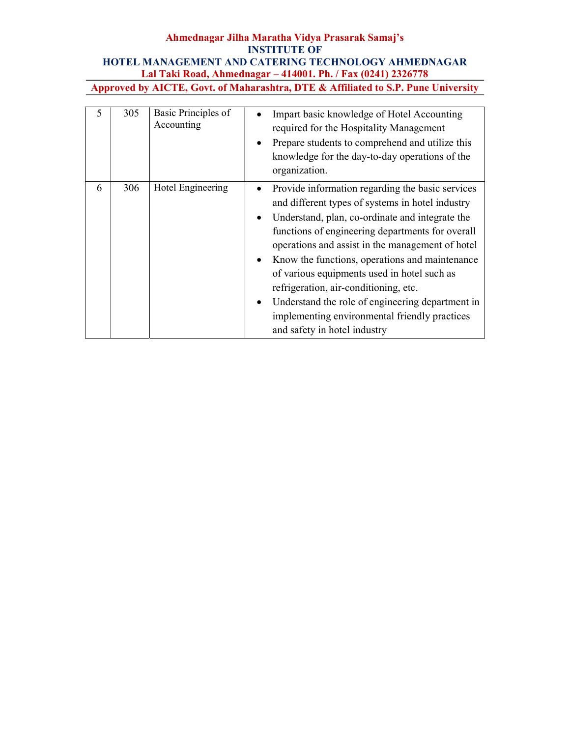| 5 | 305 | Basic Principles of<br>Accounting | Impart basic knowledge of Hotel Accounting<br>required for the Hospitality Management<br>Prepare students to comprehend and utilize this<br>$\bullet$<br>knowledge for the day-to-day operations of the<br>organization.                                                                                                                                                                                                                                                                                                                                                              |
|---|-----|-----------------------------------|---------------------------------------------------------------------------------------------------------------------------------------------------------------------------------------------------------------------------------------------------------------------------------------------------------------------------------------------------------------------------------------------------------------------------------------------------------------------------------------------------------------------------------------------------------------------------------------|
| 6 | 306 | Hotel Engineering                 | Provide information regarding the basic services<br>and different types of systems in hotel industry<br>Understand, plan, co-ordinate and integrate the<br>$\bullet$<br>functions of engineering departments for overall<br>operations and assist in the management of hotel<br>Know the functions, operations and maintenance<br>$\bullet$<br>of various equipments used in hotel such as<br>refrigeration, air-conditioning, etc.<br>Understand the role of engineering department in<br>$\bullet$<br>implementing environmental friendly practices<br>and safety in hotel industry |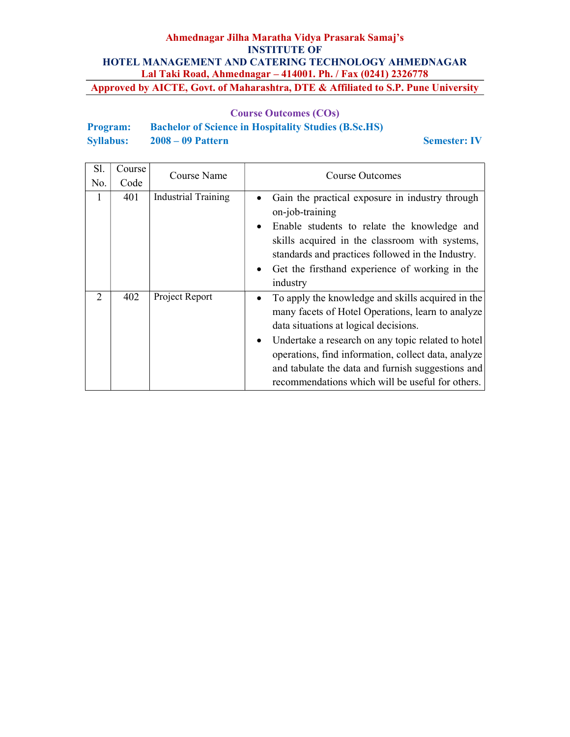## Course Outcomes (COs)

| <b>Program:</b>  | <b>Bachelor of Science in Hospitality Studies (B.Sc.HS)</b> |
|------------------|-------------------------------------------------------------|
| <b>Syllabus:</b> | $2008 - 09$ Pattern                                         |

Semester: IV

| Sl. | Course | Course Name                | Course Outcomes                                                                                                                                                                                                                                                                                                                                                                         |
|-----|--------|----------------------------|-----------------------------------------------------------------------------------------------------------------------------------------------------------------------------------------------------------------------------------------------------------------------------------------------------------------------------------------------------------------------------------------|
| No. | Code   |                            |                                                                                                                                                                                                                                                                                                                                                                                         |
| 1   | 401    | <b>Industrial Training</b> | Gain the practical exposure in industry through<br>$\bullet$<br>on-job-training<br>Enable students to relate the knowledge and<br>$\bullet$<br>skills acquired in the classroom with systems,<br>standards and practices followed in the Industry.<br>Get the firsthand experience of working in the<br>$\bullet$<br>industry                                                           |
| 2   | 402    | Project Report             | To apply the knowledge and skills acquired in the<br>٠<br>many facets of Hotel Operations, learn to analyze<br>data situations at logical decisions.<br>Undertake a research on any topic related to hotel<br>$\bullet$<br>operations, find information, collect data, analyze<br>and tabulate the data and furnish suggestions and<br>recommendations which will be useful for others. |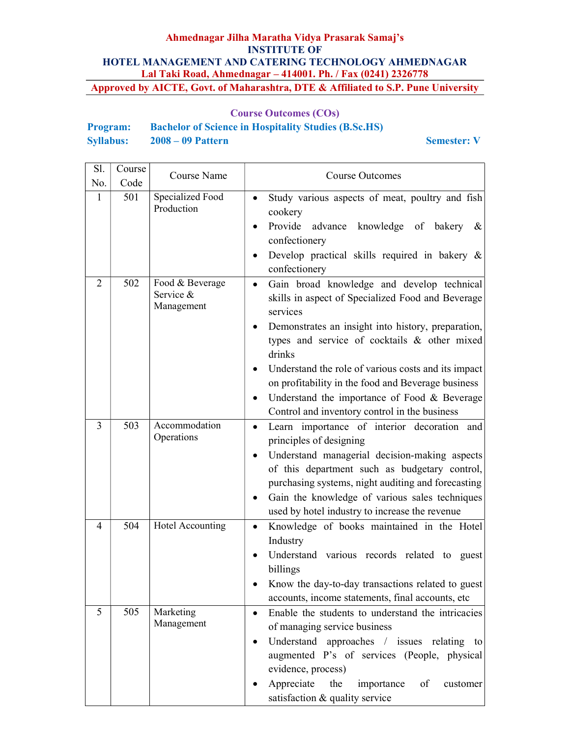### Course Outcomes (COs)

## Program: Bachelor of Science in Hospitality Studies (B.Sc.HS) Syllabus: 2008 – 09 Pattern Semester: V

| Sl.            | Course | Course Name                                | Course Outcomes                                                                                                                                                                                                                                                                                                                                                                                                                                                     |
|----------------|--------|--------------------------------------------|---------------------------------------------------------------------------------------------------------------------------------------------------------------------------------------------------------------------------------------------------------------------------------------------------------------------------------------------------------------------------------------------------------------------------------------------------------------------|
| No.            | Code   |                                            |                                                                                                                                                                                                                                                                                                                                                                                                                                                                     |
| 1              | 501    | Specialized Food<br>Production             | Study various aspects of meat, poultry and fish<br>cookery<br>Provide advance<br>knowledge of bakery<br>&<br>confectionery<br>Develop practical skills required in bakery &<br>confectionery                                                                                                                                                                                                                                                                        |
| $\overline{2}$ | 502    | Food & Beverage<br>Service &<br>Management | Gain broad knowledge and develop technical<br>$\bullet$<br>skills in aspect of Specialized Food and Beverage<br>services<br>Demonstrates an insight into history, preparation,<br>types and service of cocktails & other mixed<br>drinks<br>Understand the role of various costs and its impact<br>$\bullet$<br>on profitability in the food and Beverage business<br>Understand the importance of Food & Beverage<br>Control and inventory control in the business |
| 3              | 503    | Accommodation<br>Operations                | Learn importance of interior decoration and<br>$\bullet$<br>principles of designing<br>Understand managerial decision-making aspects<br>of this department such as budgetary control,<br>purchasing systems, night auditing and forecasting<br>Gain the knowledge of various sales techniques<br>٠<br>used by hotel industry to increase the revenue                                                                                                                |
| 4              | 504    | Hotel Accounting                           | Knowledge of books maintained in the Hotel<br>$\bullet$<br>Industry<br>Understand various records related to guest<br>billings<br>Know the day-to-day transactions related to guest<br>accounts, income statements, final accounts, etc                                                                                                                                                                                                                             |
| 5              | 505    | Marketing<br>Management                    | Enable the students to understand the intricacies<br>$\bullet$<br>of managing service business<br>Understand approaches / issues relating to<br>augmented P's of services (People, physical<br>evidence, process)<br>Appreciate<br>the<br>of<br>importance<br>customer<br>satisfaction & quality service                                                                                                                                                            |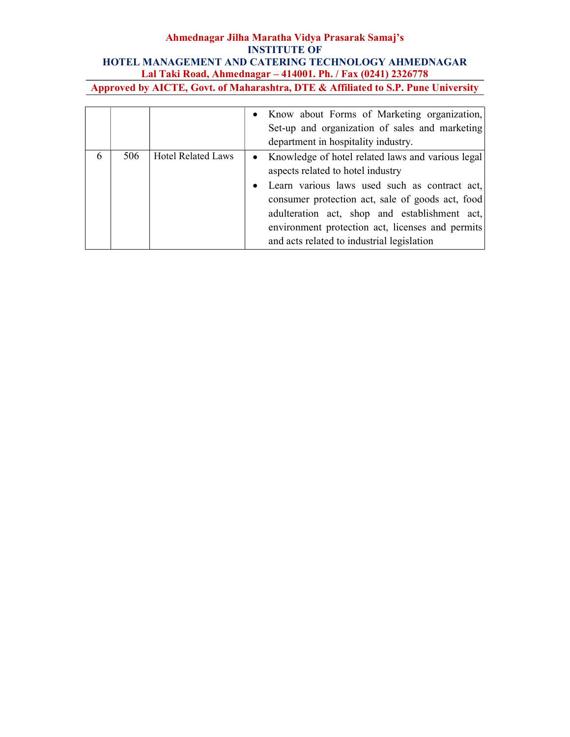|   |     |                           | • Know about Forms of Marketing organization,<br>Set-up and organization of sales and marketing<br>department in hospitality industry.                                                                                                                                                                                                           |
|---|-----|---------------------------|--------------------------------------------------------------------------------------------------------------------------------------------------------------------------------------------------------------------------------------------------------------------------------------------------------------------------------------------------|
| 6 | 506 | <b>Hotel Related Laws</b> | • Knowledge of hotel related laws and various legal<br>aspects related to hotel industry<br>Learn various laws used such as contract act,<br>consumer protection act, sale of goods act, food<br>adulteration act, shop and establishment act,<br>environment protection act, licenses and permits<br>and acts related to industrial legislation |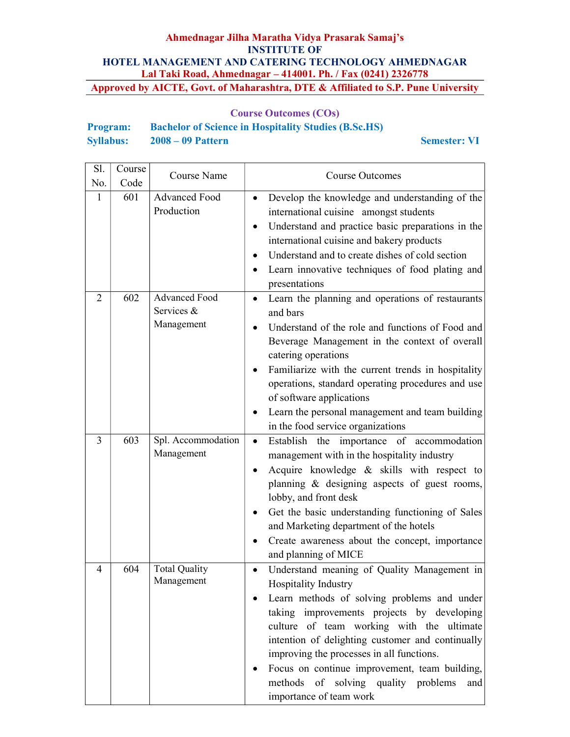## Course Outcomes (COs)

| <b>Program:</b>  | <b>Bachelor of Science in Hospitality Studies (B.Sc.HS)</b> |
|------------------|-------------------------------------------------------------|
| <b>Syllabus:</b> | $2008 - 09$ Pattern                                         |

Semester: VI

| Sl.            | Course | Course Name                               | <b>Course Outcomes</b>                                                                                                                                                                                                                                                                                                                                                                                                                                |
|----------------|--------|-------------------------------------------|-------------------------------------------------------------------------------------------------------------------------------------------------------------------------------------------------------------------------------------------------------------------------------------------------------------------------------------------------------------------------------------------------------------------------------------------------------|
| No.            | Code   |                                           |                                                                                                                                                                                                                                                                                                                                                                                                                                                       |
| $\mathbf{1}$   | 601    | Advanced Food<br>Production               | Develop the knowledge and understanding of the<br>$\bullet$<br>international cuisine amongst students<br>Understand and practice basic preparations in the<br>international cuisine and bakery products<br>Understand and to create dishes of cold section<br>Learn innovative techniques of food plating and<br>presentations                                                                                                                        |
| $\overline{2}$ | 602    | Advanced Food<br>Services &<br>Management | Learn the planning and operations of restaurants<br>and bars<br>Understand of the role and functions of Food and<br>Beverage Management in the context of overall<br>catering operations<br>Familiarize with the current trends in hospitality<br>operations, standard operating procedures and use<br>of software applications<br>Learn the personal management and team building<br>in the food service organizations                               |
| 3              | 603    | Spl. Accommodation<br>Management          | Establish the importance of accommodation<br>$\bullet$<br>management with in the hospitality industry<br>Acquire knowledge & skills with respect to<br>planning & designing aspects of guest rooms,<br>lobby, and front desk<br>Get the basic understanding functioning of Sales<br>and Marketing department of the hotels<br>Create awareness about the concept, importance<br>and planning of MICE                                                  |
| 4              | 604    | <b>Total Quality</b><br>Management        | Understand meaning of Quality Management in<br>$\bullet$<br>Hospitality Industry<br>Learn methods of solving problems and under<br>taking improvements projects by developing<br>culture of team working with the ultimate<br>intention of delighting customer and continually<br>improving the processes in all functions.<br>Focus on continue improvement, team building,<br>methods of solving quality problems<br>and<br>importance of team work |